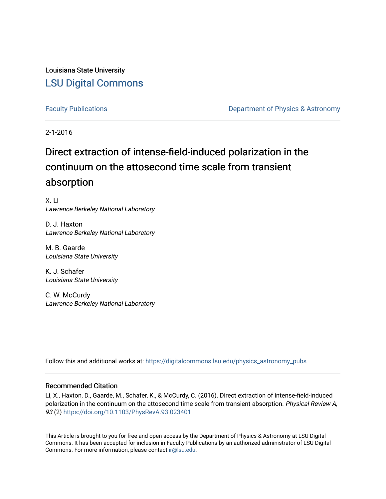Louisiana State University [LSU Digital Commons](https://digitalcommons.lsu.edu/)

[Faculty Publications](https://digitalcommons.lsu.edu/physics_astronomy_pubs) **Exercise 2 and Table 2 and Table 2 and Table 2 and Table 2 and Table 2 and Table 2 and Table 2 and Table 2 and Table 2 and Table 2 and Table 2 and Table 2 and Table 2 and Table 2 and Table 2 and Table** 

2-1-2016

## Direct extraction of intense-field-induced polarization in the continuum on the attosecond time scale from transient absorption

X. Li Lawrence Berkeley National Laboratory

D. J. Haxton Lawrence Berkeley National Laboratory

M. B. Gaarde Louisiana State University

K. J. Schafer Louisiana State University

C. W. McCurdy Lawrence Berkeley National Laboratory

Follow this and additional works at: [https://digitalcommons.lsu.edu/physics\\_astronomy\\_pubs](https://digitalcommons.lsu.edu/physics_astronomy_pubs?utm_source=digitalcommons.lsu.edu%2Fphysics_astronomy_pubs%2F2092&utm_medium=PDF&utm_campaign=PDFCoverPages) 

### Recommended Citation

Li, X., Haxton, D., Gaarde, M., Schafer, K., & McCurdy, C. (2016). Direct extraction of intense-field-induced polarization in the continuum on the attosecond time scale from transient absorption. Physical Review A, 93 (2) <https://doi.org/10.1103/PhysRevA.93.023401>

This Article is brought to you for free and open access by the Department of Physics & Astronomy at LSU Digital Commons. It has been accepted for inclusion in Faculty Publications by an authorized administrator of LSU Digital Commons. For more information, please contact [ir@lsu.edu](mailto:ir@lsu.edu).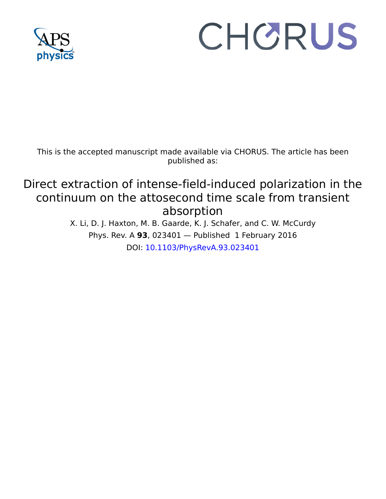

# CHORUS

This is the accepted manuscript made available via CHORUS. The article has been published as:

# Direct extraction of intense-field-induced polarization in the continuum on the attosecond time scale from transient absorption

X. Li, D. J. Haxton, M. B. Gaarde, K. J. Schafer, and C. W. McCurdy Phys. Rev. A **93**, 023401 — Published 1 February 2016 DOI: [10.1103/PhysRevA.93.023401](http://dx.doi.org/10.1103/PhysRevA.93.023401)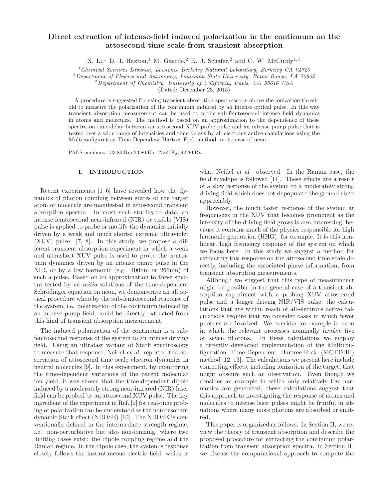## Direct extraction of intense-field induced polarization in the continuum on the attosecond time scale from transient absorption

X. Li,<sup>1</sup> D. J. Haxton,<sup>1</sup> M. Gaarde,<sup>2</sup> K. J. Schafer,<sup>2</sup> and C. W. McCurdy<sup>1,3</sup>

 $1$  Chemical Sciences Division, Lawrence Berkeley National Laboratory, Berkeley CA 94720

 $2$  Department of Physics and Astronomy, Louisiana State University, Baton Rouge, LA  $70803$ 

<sup>3</sup>Department of Chemistry, University of California, Davis, CA 95616 USA

(Dated: December 23, 2015)

A procedure is suggested for using transient absorption spectroscopy above the ionization threshold to measure the polarization of the continuum induced by an intense optical pulse. In this way transient absorption measurement can be used to probe sub-femtosecond intense field dynamics in atoms and molecules. The method is based on an approximation to the dependence of these spectra on time-delay between an attosecond XUV probe pulse and an intense pump pulse that is tested over a wide range of intensities and time delays by all-electrons-active calculations using the Multiconfiguration Time-Dependent Hartree Fock method in the case of neon.

PACS numbers: 32.80.Rm 33.80.Eh, 42.65.Ky, 42.30.Rx

#### I. INTRODUCTION

Recent experiments [1–6] have revealed how the dynamics of photon coupling between states of the target atom or molecule are manifested in attosecond transient absorption spectra. In most such studies to date, an intense femtosecond near-infrared (NIR) or visible (VIS) pulse is applied to probe or modify the dynamics initially driven by a weak and much shorter extreme ultraviolet (XUV) pulse [7, 8]. In this study, we propose a different transient absorption experiment in which a weak and ultrashort XUV pulse is used to probe the continuum dynamics driven by an intense pump pulse in the NIR, or by a low harmonic (e.g. 400nm or 266nm) of such a pulse. Based on an approximation to these spectra tested by ab initio solutions of the time-dependent Schrödinger equation on neon, we demonstrate an all optical procedure whereby the sub-femtosecond response of the system, i.e. polarization of the continuum induced by an intense pump field, could be directly extracted from this kind of transient absorption measurement.

The induced polarization of the continuum is a subfemtosecond response of the system to an intense driving field. Using an ultrafast variant of Stark spectroscopy to measure that response, Neidel et al. reported the observation of attosecond time scale electron dynamics in neutral molecules [9]. In this experiment, by monitoring the time-dependent variations of the parent molecular ion yield, it was shown that the time-dependent dipole induced by a moderately strong near-infrared (NIR) laser field can be probed by an attosecond XUV pulse. The key ingredient of the experiment in Ref. [9] for real-time probing of polarization can be understood as the non-resonant dynamic Stark effect (NRDSE) [10]. The NRDSE is conventionally defined in the intermediate strength regime, i.e. non-perturbative but also non-ionizing, where two limiting cases exist: the dipole coupling regime and the Raman regime. In the dipole case, the system's response closely follows the instantaneous electric field, which is

what Neidel et al. observed. In the Raman case, the field envelope is followed [11]. These effects are a result of a slow response of the system to a moderately strong driving field which does not depopulate the ground state appreciably.

However, the much faster response of the system at frequencies in the XUV that becomes prominent as the intensity of the driving field grows is also interesting, because it contains much of the physics responsible for high harmonic generation (HHG), for example. It is this nonlinear, high frequency response of the system on which we focus here. In this study we suggest a method for extracting this response on the attosecond time scale directly, including the associated phase information, from transient absorption measurements.

Although we suggest that this type of measurement might be possible in the general case of a transient absorption experiment with a probing XUV attosecond pulse and a longer driving NIR/VIS pulse, the calculations that are within reach of all-electrons active calculations require that we consider cases in which fewer photons are involved. We consider an example in neon in which the relevant processes nominally involve five or seven photons. In these calculations we employ a recently developed implementation of the Multiconfiguration Time-Dependent Hartree-Fock (MCTDHF) method [12, 13]. The calculations we present here include competing effects, including ionization of the target, that might obscure such an observation. Even though we consider an example in which only relatively low harmonics are generated, these calculations suggest that this approach to investigating the response of atoms and molecules to intense laser pulses might be fruitful in situations where many more photons are absorbed or emitted.

This paper is organized as follows. In Section II, we review the theory of transient absorption and describe the proposed procedure for extracting the continuum polarization from transient absorption spectra. In Section III we discuss the computational approach to compute the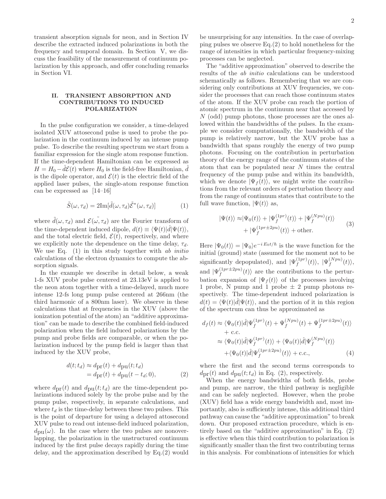transient absorption signals for neon, and in Section IV describe the extracted induced polarizations in both the frequency and temporal domain. In Section V, we discuss the feasibility of the measurement of continuum polarization by this approach, and offer concluding remarks in Section VI.

#### II. TRANSIENT ABSORPTION AND CONTRIBUTIONS TO INDUCED POLARIZATION

In the pulse configuration we consider, a time-delayed isolated XUV attosecond pulse is used to probe the polarization in the continuum induced by an intense pump pulse. To describe the resulting spectrum we start from a familiar expression for the single atom response function. If the time-dependent Hamiltonian can be expressed as  $H = H_0 - d\mathcal{E}(t)$  where  $H_0$  is the field-free Hamiltonian,  $\hat{d}$ is the dipole operator, and  $\mathcal{E}(t)$  is the electric field of the applied laser pulses, the single-atom response function can be expressed as [14–16]

$$
\tilde{S}(\omega, \tau_d) = 2\mathrm{Im}[\tilde{d}(\omega, \tau_d)\tilde{\mathcal{E}}^*(\omega, \tau_d)] \tag{1}
$$

where  $\tilde{d}(\omega, \tau_d)$  and  $\mathcal{E}(\omega, \tau_d)$  are the Fourier transform of the time-dependent induced dipole,  $d(t) \equiv \langle \Psi(t) | \hat{d} | \Psi(t) \rangle$ , and the total electric field,  $\mathcal{E}(t)$ , respectively, and where we explicitly note the dependence on the time delay,  $\tau_d$ . We use Eq.  $(1)$  in this study together with ab initio calculations of the electron dynamics to compute the absorption signals.

In the example we describe in detail below, a weak 1-fs XUV probe pulse centered at 23.13eV is applied to the neon atom together with a time-delayed, much more intense 12-fs long pump pulse centered at 266nm (the third harmonic of a 800nm laser). We observe in these calculations that at frequencies in the XUV (above the ionization potential of the atom) an "additive approximation" can be made to describe the combined field-induced polarization when the field induced polarizations by the pump and probe fields are comparable, or when the polarization induced by the pump field is larger than that induced by the XUV probe,

$$
d(t; t_d) \approx d_{\text{pr}}(t) + d_{\text{pu}}(t; t_d)
$$
  
=  $d_{\text{pr}}(t) + d_{\text{pu}}(t - t_d; 0),$  (2)

where  $d_{\text{pr}}(t)$  and  $d_{\text{pu}}(t; t_d)$  are the time-dependent polarizations induced solely by the probe pulse and by the pump pulse, respectively, in separate calculations, and where  $t_d$  is the time-delay between these two pulses. This is the point of departure for using a delayed attosecond XUV pulse to read out intense-field induced polarization,  $d_{\text{D11}}(\omega)$ . In the case where the two pulses are nonoverlapping, the polarization in the unstructured continuum induced by the first pulse decays rapidly during the time delay, and the approximation described by Eq.(2) would

be unsurprising for any intensities. In the case of overlapping pulses we observe Eq.(2) to hold nonetheless for the range of intensities in which particular frequency-mixing processes can be neglected.

The "additive approximation" observed to describe the results of the ab initio calculations can be understood schematically as follows. Remembering that we are considering only contributions at XUV frequencies, we consider the processes that can reach those continuum states of the atom. If the XUV probe can reach the portion of atomic spectrum in the continuum near that accessed by N (odd) pump photons, those processes are the ones allowed within the bandwidths of the pulses. In the example we consider computationally, the bandwidth of the pump is relatively narrow, but the XUV probe has a bandwidth that spans roughly the energy of two pump photons. Focusing on the contribution in perturbation theory of the energy range of the continuum states of the atom that can be populated near N times the central frequency of the pump pulse and within its bandwidth, which we denote  $|\Psi_f(t)\rangle$ , we might write the contributions from the relevant orders of perturbation theory and from the range of continuum states that contribute to the full wave function,  $|\Psi(t)\rangle$  as,

$$
|\Psi(t)\rangle \approx |\Psi_0(t)\rangle + |\Psi_f^{(1pr)}(t)\rangle + |\Psi_f^{(Npu)}(t)\rangle
$$
  
+ 
$$
|\Psi_f^{(1pr \pm 2pu)}(t)\rangle + \text{other.}
$$
 (3)

Here  $|\Psi_0(t)\rangle = |\Psi_0\rangle e^{-iE_0t/\hbar}$  is the wave function for the initial (ground) state (assumed for the moment not to be significantly depopulated), and  $|\Psi_f^{(1pr)}\rangle$  $\langle 1pr \rangle_{f}$   $|\Psi_{f}^{(Npu)}\rangle$  $f_f^{(Npu)}(t)\rangle,$ and  $|\Psi_f^{(1pr \pm 2pu)}|$  $(f^{(1pr\pm 2pu)}(t))$  are the contributions to the perturbation expansion of  $|\Psi_f(t)\rangle$  of the processes involving 1 probe, N pump and 1 probe  $\pm$  2 pump photons respectively. The time-dependent induced polarization is  $d(t) = \langle \Psi(t) | \hat{d} | \Psi(t) \rangle$ , and the portion of it in this region of the spectrum can thus be approximated as

$$
d_f(t) \approx \langle \Psi_0(t) | \hat{d} | \Psi_f^{(1pr)}(t) + \Psi_f^{(Npu)}(t) + \Psi_f^{(1pr \pm 2pu)}(t) \rangle
$$
  
+ c.c.  

$$
\approx \langle \Psi_0(t) | \hat{d} | \Psi_f^{(1pr)}(t) \rangle + \langle \Psi_0(t) | \hat{d} | \Psi_f^{(Npu)}(t) \rangle
$$

$$
+ \langle \Psi_0(t) | \hat{d} | \Psi_f^{(1pr \pm 2pu)}(t) \rangle + c.c., \tag{4}
$$

where the first and the second terms corresponds to  $dpr(t)$  and  $dpu(t; t_d)$  in Eq. (2), respectively.

When the energy bandwidths of both fields, probe and pump, are narrow, the third pathway is negligible and can be safely neglected. However, when the probe (XUV) field has a wide energy bandwidth and, most importantly, also is sufficiently intense, this additional third pathway can cause the "additive approximation" to break down. Our proposed extraction procedure, which is entirely based on the "additive approximation" in Eq. (2) is effective when this third contribution to polarization is significantly smaller than the first two contributing terms in this analysis. For combinations of intensities for which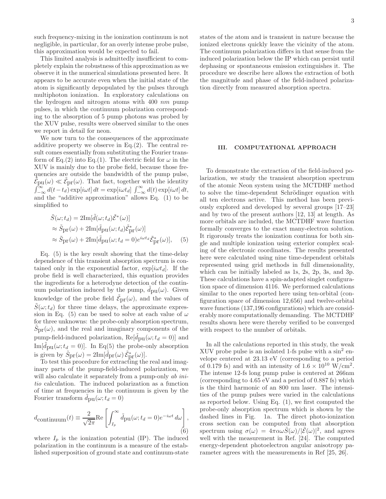such frequency-mixing in the ionization continuum is not negligible, in particular, for an overly intense probe pulse, this approximation would be expected to fail.

This limited analysis is admittedly insufficient to completely explain the robustness of this approximation as we observe it in the numerical simulations presented here. It appears to be accurate even when the initial state of the atom is significantly depopulated by the pulses through multiphoton ionization. In exploratory calculations on the hydrogen and nitrogen atoms with 400 nm pump pulses, in which the continuum polarization corresponding to the absorption of 5 pump photons was probed by the XUV pulse, results were observed similar to the ones we report in detail for neon.

We now turn to the consequences of the approximate additive property we observe in Eq. $(2)$ . The central result comes essentially from substituting the Fourier transform of Eq.(2) into Eq.(1). The electric field for  $\omega$  in the XUV is mainly due to the probe field, because those frequencies are outside the bandwidth of the pump pulse,  $\mathcal{E}_{\text{pu}}(\omega) \ll \mathcal{E}_{\text{pr}}(\omega)$ . That fact, together with the identity  $\int_{-\infty}^{\infty} d(t-t_d) \exp[i\omega t] dt = \exp[i\omega t_d] \int_{-\infty}^{\infty} d(t) \exp[i\omega t] dt,$ and the "additive approximation" allows Eq. (1) to be simplified to

$$
\tilde{S}(\omega; t_d) = 2\text{Im}[\tilde{d}(\omega; t_d)\tilde{\mathcal{E}}^*(\omega)] \n\approx \tilde{S}_{\text{pr}}(\omega) + 2\text{Im}[\tilde{d}_{\text{pu}}(\omega; t_d)\tilde{\mathcal{E}}^*_{\text{pr}}(\omega)] \n\approx \tilde{S}_{\text{pr}}(\omega) + 2\text{Im}[\tilde{d}_{\text{pu}}(\omega; t_d = 0)e^{i\omega t_d}\tilde{\mathcal{E}}^*_{\text{pr}}(\omega)],
$$
\n(5)

Eq. (5) is the key result showing that the time-delay dependence of this transient absorption spectrum is contained only in the exponential factor,  $\exp[i\omega t_d]$ . If the probe field is well characterized, this equation provides the ingredients for a heterodyne detection of the continuum polarization induced by the pump,  $d_{\text{pu}}(\omega)$ . Given knowledge of the probe field  $\tilde{\mathcal{E}}_{\text{DT}}(\omega)$ , and the values of  $S(\omega; t_d)$  for three time delays, the approximate expression in Eq. (5) can be used to solve at each value of  $\omega$ for three unknowns: the probe-only absorption spectrum,  $S_{\text{DT}}(\omega)$ , and the real and imaginary components of the pump-field-induced polarization,  $\text{Re}[\tilde{d}_{\text{DU}}(\omega; t_d = 0)]$  and  $\text{Im}[\tilde{d}_{\text{pu}}(\omega;t_d=0)].$  In Eq(5) the probe-only absorption is given by  $\tilde{S}_{\text{pr}}(\omega) = 2\text{Im}[\tilde{d}_{\text{pr}}(\omega)\tilde{\mathcal{E}}^*_{\text{pr}}(\omega)].$ 

To test this procedure for extracting the real and imaginary parts of the pump-field-induced polarization, we will also calculate it separately from a pump-only  $ab$  initio calculation. The induced polarization as a function of time at frequencies in the continuum is given by the Fourier transform  $\ddot{d}_{\text{DU}}(\omega; t_d = 0)$ 

$$
d_{\text{continuum}}(t) \equiv \frac{2}{\sqrt{2\pi}} \text{Re}\left[\int_{I_p}^{\infty} \tilde{d}_{\text{pu}}(\omega; t_d = 0) e^{-i\omega t} d\omega\right],\tag{6}
$$

where  $I_p$  is the ionization potential (IP). The induced polarization in the continuum is a measure of the established superposition of ground state and continuum-state states of the atom and is transient in nature because the ionized electrons quickly leave the vicinity of the atom. The continuum polarization differs in that sense from the induced polarization below the IP which can persist until dephasing or spontaneous emission extinguishes it. The procedure we describe here allows the extraction of both the magnitude and phase of the field-induced polarization directly from measured absorption spectra.

#### III. COMPUTATIONAL APPROACH

To demonstrate the extraction of the field-induced polarization, we study the transient absorption spectrum of the atomic Neon system using the MCTDHF method to solve the time-dependent Schrödinger equation with all ten electrons active. This method has been previously explored and developed by several groups [17–23] and by two of the present authors [12, 13] at length. As more orbitals are included, the MCTDHF wave function formally converges to the exact many-electron solution. It rigorously treats the ionization continua for both single and multiple ionization using exterior complex scaling of the electronic coordinates. The results presented here were calculated using nine time-dependent orbitals represented using grid methods in full dimensionality, which can be initially labeled as 1s, 2s, 2p, 3s, and 3p. These calculations have a spin-adapted singlet configuration space of dimension 4116. We performed calculations similar to the ones reported here using ten-orbital (configuration space of dimension 12,656) and twelve-orbital wave functions (137,196 configurations) which are considerably more computationally demanding. The MCTDHF results shown here were thereby verified to be converged with respect to the number of orbitals.

In all the calculations reported in this study, the weak XUV probe pulse is an isolated 1-fs pulse with a sin<sup>2</sup> envelope centered at 23.13 eV (corresponding to a period of 0.179 fs) and with an intensity of  $1.6 \times 10^{10}$  W/cm<sup>2</sup>. The intense 12-fs long pump pulse is centered at 266nm (corresponding to 4.65 eV and a period of 0.887 fs) which is the third harmonic of an 800 nm laser. The intensities of the pump pulses were varied in the calculations as reported below. Using Eq. (1), we first computed the probe-only absorption spectrum which is shown by the dashed lines in Fig. 1a. The direct photo-ionization cross section can be computed from that absorption spectrum using  $\sigma(\omega) = 4\pi \alpha \omega \tilde{S}(\omega)/|\tilde{\mathcal{E}}(\omega)|^2$ , and agrees well with the measurement in Ref. [24]. The computed energy-dependent photoelectron angular anisotropy parameter agrees with the measurements in Ref [25, 26].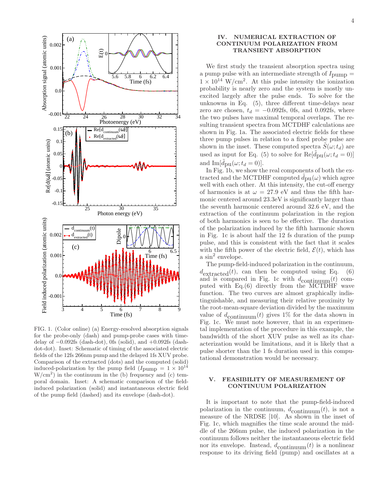

FIG. 1. (Color online) (a) Energy-resolved absorption signals for the probe-only (dash) and pump-probe cases with timedelay of  $-0.092$ fs (dash-dot), 0fs (solid), and  $+0.092$ fs (dashdot-dot). Inset: Schematic of timing of the associated electric fields of the 12fs 266nm pump and the delayed 1fs XUV probe. Comparison of the extracted (dots) and the computed (solid) induced-polarization by the pump field  $(I_{\text{pump}} = 1 \times 10^{14}$  $W/cm<sup>2</sup>$ ) in the continuum in the (b) frequency and (c) temporal domain. Inset: A schematic comparison of the fieldinduced polarization (solid) and instantaneous electric field of the pump field (dashed) and its envelope (dash-dot).

#### IV. NUMERICAL EXTRACTION OF CONTINUUM POLARIZATION FROM TRANSIENT ABSORPTION

We first study the transient absorption spectra using a pump pulse with an intermediate strength of  $I_{\text{pump}} =$  $1 \times 10^{14}$  W/cm<sup>2</sup>. At this pulse intensity the ionization probability is nearly zero and the system is mostly unexcited largely after the pulse ends. To solve for the unknowns in Eq. (5), three different time-delays near zero are chosen,  $t_d = -0.092$ fs, 0fs, and 0.092fs, where the two pulses have maximal temporal overlaps. The resulting transient spectra from MCTDHF calculations are shown in Fig. 1a. The associated electric fields for these three pump pulses in relation to a fixed probe pulse are shown in the inset. These computed spectra  $\tilde{S}(\omega; t_d)$  are used as input for Eq. (5) to solve for  $\text{Re}[\tilde{d}_{\text{DU}}(\omega; t_d = 0)]$ and  $\text{Im}[\ddot{d}_{\text{DU}}(\omega; t_d = 0)].$ 

In Fig. 1b, we show the real components of both the extracted and the MCTDHF computed  $d_{\text{DU}}(\omega)$  which agree well with each other. At this intensity, the cut-off energy of harmonics is at  $\omega = 27.9$  eV and thus the fifth harmonic centered around 23.3eV is significantly larger than the seventh harmonic centered around 32.6 eV, and the extraction of the continuum polarization in the region of both harmonics is seen to be effective. The duration of the polarization induced by the fifth harmonic shown in Fig. 1c is about half the 12 fs duration of the pump pulse, and this is consistent with the fact that it scales with the fifth power of the electric field,  $\mathcal{E}(t)$ , which has  $a \sin^2$  envelope.

The pump-field-induced polarization in the continuum,  $d_{\text{extracted}}(t)$ , can then be computed using Eq. (6) and is compared in Fig. 1c with  $d_{\text{continuum}}(t)$  computed with Eq.(6) directly from the MCTDHF wave function. The two curves are almost graphically indistinguishable, and measuring their relative proximity by the root-mean-square deviation divided by the maximum value of  $d_{\text{continuum}}(t)$  gives 1% for the data shown in Fig. 1c. We must note however, that in an experimental implementation of the procedure in this example, the bandwidth of the short XUV pulse as well as its characterization would be limitations, and it is likely that a pulse shorter than the 1 fs duration used in this computational demonstration would be necessary.

#### V. FEASIBILITY OF MEASUREMENT OF CONTINUUM POLARIZATION

It is important to note that the pump-field-induced polarization in the continuum,  $d_{\text{continuum}}(t)$ , is not a measure of the NRDSE [10]. As shown in the inset of Fig. 1c, which magnifies the time scale around the middle of the 266nm pulse, the induced polarization in the continuum follows neither the instantaneous electric field nor its envelope. Instead,  $d_{\text{continuum}}(t)$  is a nonlinear response to its driving field (pump) and oscillates at a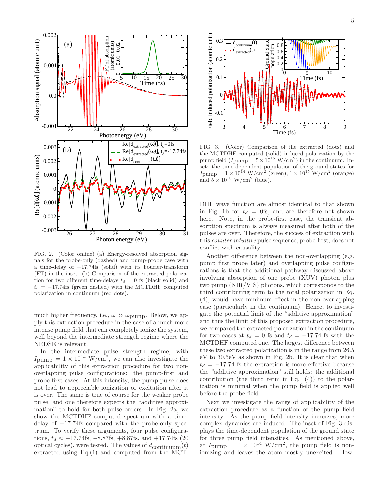

FIG. 2. (Color online) (a) Energy-resolved absorption signals for the probe-only (dashed) and pump-probe case with a time-delay of −17.74fs (solid) with its Fourier-transform (FT) in the inset. (b) Comparison of the extracted polarization for two different time-delays  $t_d = 0$  fs (black solid) and  $t_d = -17.74$ fs (green dashed) with the MCTDHF computed polarization in continuum (red dots).

much higher frequency, i.e.,  $\omega \gg \omega_{\text{pump}}$ . Below, we apply this extraction procedure in the case of a much more intense pump field that can completely ionize the system, well beyond the intermediate strength regime where the NRDSE is relevant.

In the intermediate pulse strength regime, with  $I_{\text{pump}} = 1 \times 10^{14} \text{ W/cm}^2$ , we can also investigate the applicability of this extraction procedure for two nonoverlapping pulse configurations: the pump-first and probe-first cases. At this intensity, the pump pulse does not lead to appreciable ionization or excitation after it is over. The same is true of course for the weaker probe pulse, and one therefore expects the "additive approximation" to hold for both pulse orders. In Fig. 2a, we show the MCTDHF computed spectrum with a timedelay of −17.74fs compared with the probe-only spectrum. To verify these arguments, four pulse configurations,  $t_d \approx -17.74$ fs,  $-8.87$ fs,  $+8.87$ fs, and  $+17.74$ fs (20 optical cycles), were tested. The values of  $d_{\text{continuum}}(t)$ extracted using Eq.(1) and computed from the MCT-



FIG. 3. (Color) Comparison of the extracted (dots) and the MCTDHF computed (solid) induced-polarization by the pump field  $(I_{\text{pump}} = 5 \times 10^{15} \text{ W/cm}^2)$  in the continuum. Inset: the time-dependent population of the ground states for  $I_{\text{pump}} = 1 \times 10^{14} \text{ W/cm}^2 \text{ (green)}, 1 \times 10^{15} \text{ W/cm}^2 \text{ (orange)}$ and  $5 \times 10^{15}$  W/cm<sup>2</sup> (blue).

DHF wave function are almost identical to that shown in Fig. 1b for  $t_d = 0$ fs, and are therefore not shown here. Note, in the probe-first case, the transient absorption spectrum is always measured after both of the pulses are over. Therefore, the success of extraction with this counter intuitive pulse sequence, probe-first, does not conflict with causality.

Another difference between the non-overlapping (e.g. pump first probe later) and overlapping pulse configurations is that the additional pathway discussed above involving absorption of one probe (XUV) photon plus two pump (NIR/VIS) photons, which corresponds to the third contributing term to the total polarization in Eq. (4), would have minimum effect in the non-overlapping case (particularly in the continuum). Hence, to investigate the potential limit of the "additive approximation" and thus the limit of this proposed extraction procedure, we compared the extracted polarization in the continuum for two cases at  $t_d = 0$  fs and  $t_d = -17.74$  fs with the MCTDHF computed one. The largest difference between these two extracted polarization is in the range from 26.5 eV to 30.5eV as shown in Fig. 2b. It is clear that when  $t_d = -17.74$  fs the extraction is more effective because the "additive approximation" still holds: the additional contribution (the third term in Eq.  $(4)$ ) to the polarization is minimal when the pump field is applied well before the probe field.

Next we investigate the range of applicability of the extraction procedure as a function of the pump field intensity. As the pump field intensity increases, more complex dynamics are induced. The inset of Fig. 3 displays the time-dependent population of the ground state for three pump field intensities. As mentioned above, at  $I_{\text{pump}} = 1 \times 10^{14} \text{ W/cm}^2$ , the pump field is nonionizing and leaves the atom mostly unexcited. How-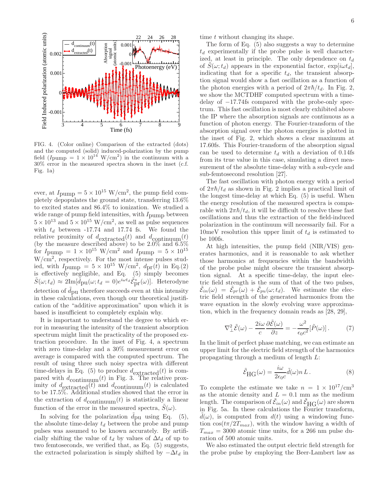

FIG. 4. (Color online) Comparison of the extracted (dots) and the computed (solid) induced-polarization by the pump field  $(I_{\text{pump}} = 1 \times 10^{14} \text{ W/cm}^2)$  in the continuum with a 30% error in the measured spectra shown in the inset (c.f. Fig. 1a)

ever, at  $I_{\text{pump}} = 5 \times 10^{15} \text{ W/cm}^2$ , the pump field completely depopulates the ground state, transferring 13.6% to excited states and 86.4% to ionization. We studied a wide range of pump field intensities, with  $I_{\text{pump}}$  between  $5 \times 10^{13}$  and  $5 \times 10^{15}$  W/cm<sup>2</sup>, as well as pulse sequences with  $t_d$  between -17.74 and 17.74 fs. We found the relative proximity of  $d_{\text{extracted}}(t)$  and  $d_{\text{continuum}}(t)$ (by the measure described above) to be 2.0% and 6.5% for  $I_{\text{pump}} = 1 \times 10^{15} \text{ W/cm}^2$  and  $I_{\text{pump}} = 5 \times 10^{15}$ W/cm<sup>2</sup> , respectively. For the most intense pulses studied, with  $I_{\text{pump}} = 5 \times 10^{15} \text{ W/cm}^2$ ,  $d_{\text{pr}}(t)$  in Eq.(2) is effectively negligible, and Eq. (5) simply becomes  $\tilde{S}(\omega; t_d) \approx 2\text{Im}[\tilde{d}_{\text{pu}}(\omega; t_d = 0)e^{i\omega t_d}\tilde{\mathcal{E}}_{\text{pr}}^{*}(\omega)].$  Heterodyne detection of  $\tilde{d}_{\text{p}u}$  therefore succeeds even at this intensity in these calculations, even though our theoretical justification of the "additive approximation" upon which it is based is insufficient to completely explain why.

It is important to understand the degree to which error in measuring the intensity of the transient absorption spectrum might limit the practicality of the proposed extraction procedure. In the inset of Fig. 4, a spectrum with zero time-delay and a 30% measurement error on average is compared with the computed spectrum. The result of using three such noisy spectra with different time-delays in Eq. (5) to produce  $d_{\text{extracted}}(t)$  is compared with  $d_{\text{continuum}}(t)$  in Fig. 3. The relative proximity of  $d_{\text{extracted}}(t)$  and  $d_{\text{continuum}}(t)$  is calculated to be 17.5%. Additional studies showed that the error in the extraction of  $d_{\text{continuum}}(t)$  is statistically a linear function of the error in the measured spectra,  $S(\omega)$ .

In solving for the polarization  $d_{\text{pu}}$  using Eq. (5), the absolute time-delay  $t_d$  between the probe and pump pulses was assumed to be known accurately. By artificially shifting the value of  $t_d$  by values of  $\Delta t_d$  of up to two femtoseconds, we verified that, as Eq. (5) suggests, the extracted polarization is simply shifted by  $-\Delta t_d$  in

time  $t$  without changing its shape.

The form of Eq. (5) also suggests a way to determine  $t_d$  experimentally if the probe pulse is well characterized, at least in principle. The only dependence on  $t_d$ of  $S(\omega; t_d)$  appears in the exponential factor,  $\exp[i\omega t_d]$ , indicating that for a specific  $t_d$ , the transient absorption signal would show a fast oscillation as a function of the photon energies with a period of  $2\pi\hbar/t_d$ . In Fig. 2, we show the MCTDHF computed spectrum with a timedelay of −17.74fs compared with the probe-only spectrum. This fast oscillation is most clearly exhibited above the IP where the absorption signals are continuous as a function of photon energy. The Fourier-transform of the absorption signal over the photon energies is plotted in the inset of Fig. 2, which shows a clear maximum at 17.60fs. This Fourier-transform of the absorption signal can be used to determine  $t_d$  with a deviation of 0.14fs from its true value in this case, simulating a direct measurement of the absolute time-delay with a sub-cycle and sub-femtosecond resolution [27].

The fast oscillation with photon energy with a period of  $2\pi\hbar/t_d$  as shown in Fig. 2 implies a practical limit of the longest time-delay at which Eq. (5) is useful. When the energy resolution of the measured spectra is comparable with  $2\pi\hbar/t_d$ , it will be difficult to resolve these fast oscillations and thus the extraction of the field-induced polarization in the continuum will necessarily fail. For a 10meV resolution this upper limit of  $t_d$  is estimated to be 100fs.

At high intensities, the pump field (NIR/VIS) generates harmonics, and it is reasonable to ask whether those harmonics at frequencies within the bandwidth of the probe pulse might obscure the transient absorption signal. At a specific time-delay, the input electric field strength is the sum of that of the two pulses,  $\tilde{\mathcal{E}}_{in}(\omega) = \tilde{\mathcal{E}}_{pr}(\omega) + \tilde{\mathcal{E}}_{pu}(\omega; t_d)$ . We estimate the electric field strength of the generated harmonics from the wave equation in the slowly evolving wave approximation, which in the frequency domain reads as [28, 29],

$$
\nabla_{\perp}^{2} \tilde{\mathcal{E}}(\omega) - \frac{2i\omega}{c} \frac{\partial \tilde{\mathcal{E}}(\omega)}{\partial z} = -\frac{\omega^{2}}{\epsilon_{0} c^{2}} [\tilde{P}(\omega)]. \tag{7}
$$

In the limit of perfect phase matching, we can estimate an upper limit for the electric field strength of the harmonics propagating through a medium of length L:

$$
\tilde{\mathcal{E}}_{\text{HG}}(\omega) = \frac{i\omega}{2\epsilon_0 c} \tilde{d}(\omega) n L. \tag{8}
$$

To complete the estimate we take  $n = 1 \times 10^{17}/\text{cm}^3$ as the atomic density and  $L = 0.1$  mm as the medium length. The comparison of  $\tilde{\mathcal{E}}_{in}(\omega)$  and  $\tilde{\mathcal{E}}_{HG}(\omega)$  are shown in Fig. 5a. In these calculations the Fourier transform,  $d(\omega)$ , is computed from  $d(t)$  using a windowing function  $\cos(t\pi/2T_{max})$ , with the window having a width of  $T_{max} = 3000$  atomic time units, for a 266 nm pulse duration of 500 atomic units.

We also estimated the output electric field strength for the probe pulse by employing the Beer-Lambert law as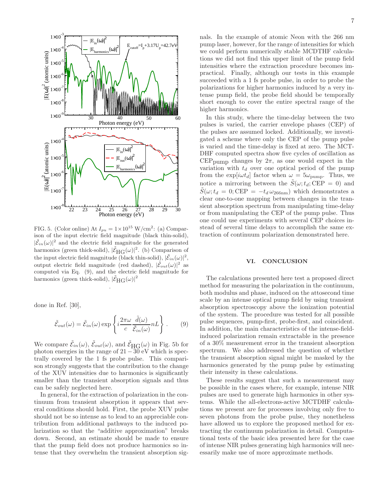

FIG. 5. (Color online) At  $I_{pu} = 1 \times 10^{15} \text{ W/cm}^2$ : (a) Comparison of the input electric field magnitude (black thin-solid),  $|\tilde{\mathcal{E}}_{in}(\omega)|^2$  and the electric field magnitude for the generated harmonics (green thick-solid),  $|\tilde{\mathcal{E}}_{\text{HG}}(\omega)|^2$ . (b) Comparison of the input electric field magnitude (black thin-solid),  $|\tilde{\mathcal{E}}_{in}(\omega)|^2$ , output electric field magnitude (red dashed),  $|\tilde{\mathcal{E}}_{out}(\omega)|^2$  as computed via Eq. (9), and the electric field magnitude for harmonics (green thick-solid),  $|\tilde{\mathcal{E}}_{\rm HG}(\omega)|^2$ 

.

done in Ref. [30],

$$
\tilde{\mathcal{E}}_{out}(\omega) = \tilde{\mathcal{E}}_{in}(\omega) \exp\left\{ i \frac{2\pi\omega}{c} \frac{\tilde{d}(\omega)}{\tilde{\mathcal{E}}_{in}(\omega)} nL \right\}.
$$
 (9)

We compare  $\tilde{\mathcal{E}}_{in}(\omega)$ ,  $\tilde{\mathcal{E}}_{out}(\omega)$ , and  $\tilde{\mathcal{E}}_{\text{HG}}(\omega)$  in Fig. 5b for photon energies in the range of  $21 - 30$  eV which is spectrally covered by the 1 fs probe pulse. This comparison strongly suggests that the contribution to the change of the XUV intensities due to harmonics is significantly smaller than the transient absorption signals and thus can be safely neglected here.

In general, for the extraction of polarization in the continuum from transient absorption it appears that several conditions should hold. First, the probe XUV pulse should not be so intense as to lead to an appreciable contribution from additional pathways to the induced polarization so that the "additive approximation" breaks down. Second, an estimate should be made to ensure that the pump field does not produce harmonics so intense that they overwhelm the transient absorption sig-

nals. In the example of atomic Neon with the 266 nm pump laser, however, for the range of intensities for which we could perform numerically stable MCDTHF calculations we did not find this upper limit of the pump field intensities where the extraction procedure becomes impractical. Finally, although our tests in this example succeeded with a 1 fs probe pulse, in order to probe the polarizations for higher harmonics induced by a very intense pump field, the probe field should be temporally short enough to cover the entire spectral range of the higher harmonics.

In this study, where the time-delay between the two pulses is varied, the carrier envelope phases (CEP) of the pulses are assumed locked. Additionally, we investigated a scheme where only the CEP of the pump pulse is varied and the time-delay is fixed at zero. The MCT-DHF computed spectra show five cycles of oscillation as CEP pump changes by  $2\pi$ , as one would expect in the variation with  $t_d$  over one optical period of the pump from the  $\exp[i\omega t_d]$  factor when  $\omega = 5\omega_{\text{pump}}$ . Thus, we notice a mirroring between the  $\tilde{S}(\omega; t_d; CEP = 0)$  and  $S(\omega; t_d = 0; CEP = -t_d \omega_{266nm})$  which demonstrates a clear one-to-one mapping between changes in the transient absorption spectrum from manipulating time-delay or from manipulating the CEP of the pump pulse. Thus one could use experiments with several CEP choices instead of several time delays to accomplish the same extraction of continuum polarization demonstrated here.

#### VI. CONCLUSION

The calculations presented here test a proposed direct method for measuring the polarization in the continuum, both modulus and phase, induced on the attosecond time scale by an intense optical pump field by using transient absorption spectroscopy above the ionization potential of the system. The procedure was tested for all possible pulse sequences, pump-first, probe-first, and coincident. In addition, the main characteristics of the intense-fieldinduced polarization remain extractable in the presence of a 30% measurement error in the transient absorption spectrum. We also addressed the question of whether the transient absorption signal might be masked by the harmonics generated by the pump pulse by estimating their intensity in these calculations.

These results suggest that such a measurement may be possible in the cases where, for example, intense NIR pulses are used to generate high harmonics in other systems. While the all-electrons-active MCTDHF calculations we present are for processes involving only five to seven photons from the probe pulse, they nonetheless have allowed us to explore the proposed method for extracting the continuum polarization in detail. Computational tests of the basic idea presented here for the case of intense NIR pulses generating high harmonics will necessarily make use of more approximate methods.